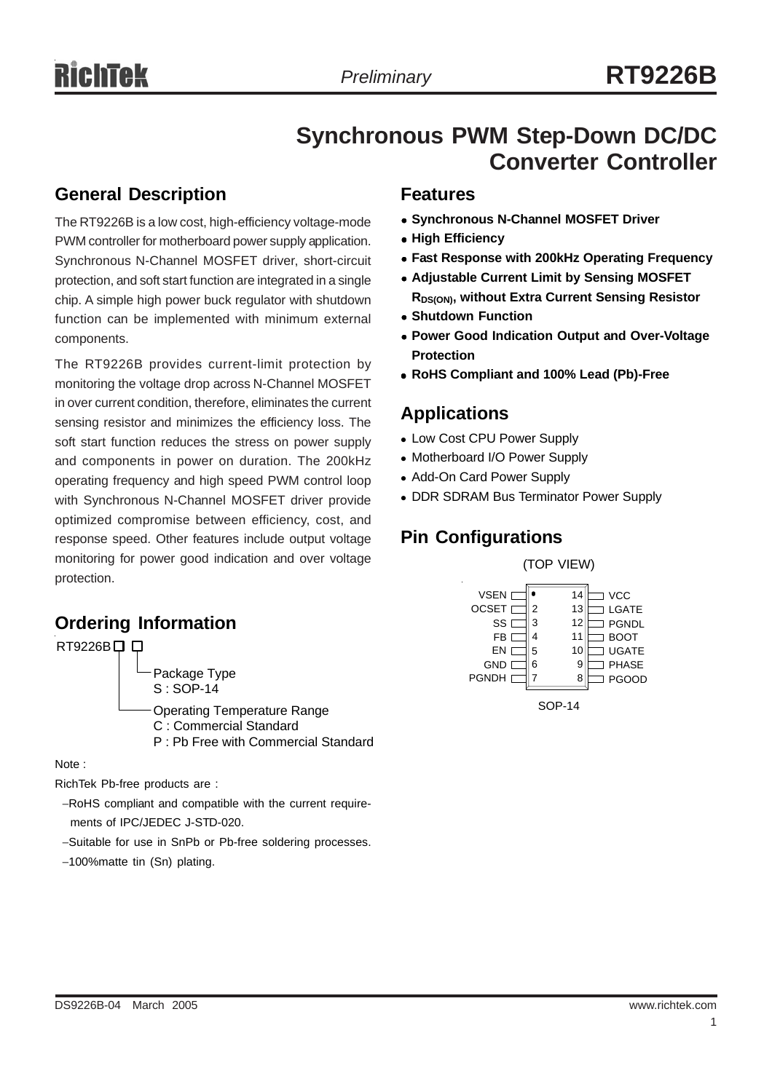# **Synchronous PWM Step-Down DC/DC Converter Controller**

### **General Description**

The RT9226B is a low cost, high-efficiency voltage-mode PWM controller for motherboard power supply application. Synchronous N-Channel MOSFET driver, short-circuit protection, and soft start function are integrated in a single chip. A simple high power buck regulator with shutdown function can be implemented with minimum external components.

The RT9226B provides current-limit protection by monitoring the voltage drop across N-Channel MOSFET in over current condition, therefore, eliminates the current sensing resistor and minimizes the efficiency loss. The soft start function reduces the stress on power supply and components in power on duration. The 200kHz operating frequency and high speed PWM control loop with Synchronous N-Channel MOSFET driver provide optimized compromise between efficiency, cost, and response speed. Other features include output voltage monitoring for power good indication and over voltage protection.

## **Ordering Information**



Note :

RichTek Pb-free products are :

- −RoHS compliant and compatible with the current require ments of IPC/JEDEC J-STD-020.
- −Suitable for use in SnPb or Pb-free soldering processes.
- −100%matte tin (Sn) plating.

#### **Features**

- **Synchronous N-Channel MOSFET Driver**
- **High Efficiency**
- **Fast Response with 200kHz Operating Frequency**
- **Adjustable Current Limit by Sensing MOSFET RDS(ON), without Extra Current Sensing Resistor**
- **Shutdown Function**
- **Power Good Indication Output and Over-Voltage Protection**
- <sup>z</sup> **RoHS Compliant and 100% Lead (Pb)-Free**

### **Applications**

- Low Cost CPU Power Supply
- Motherboard I/O Power Supply
- Add-On Card Power Supply
- DDR SDRAM Bus Terminator Power Supply

### **Pin Configurations**

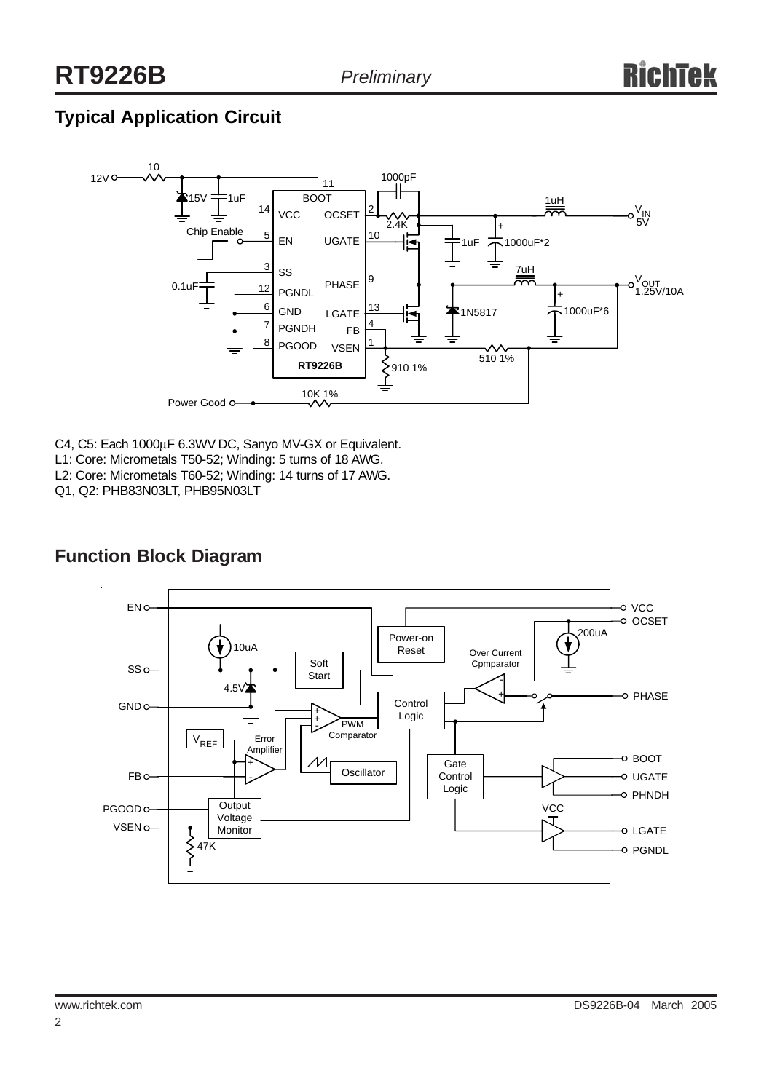# **Typical Application Circuit**



C4, C5: Each 1000µF 6.3WV DC, Sanyo MV-GX or Equivalent.

- L1: Core: Micrometals T50-52; Winding: 5 turns of 18 AWG.
- L2: Core: Micrometals T60-52; Winding: 14 turns of 17 AWG.

Q1, Q2: PHB83N03LT, PHB95N03LT



### **Function Block Diagram**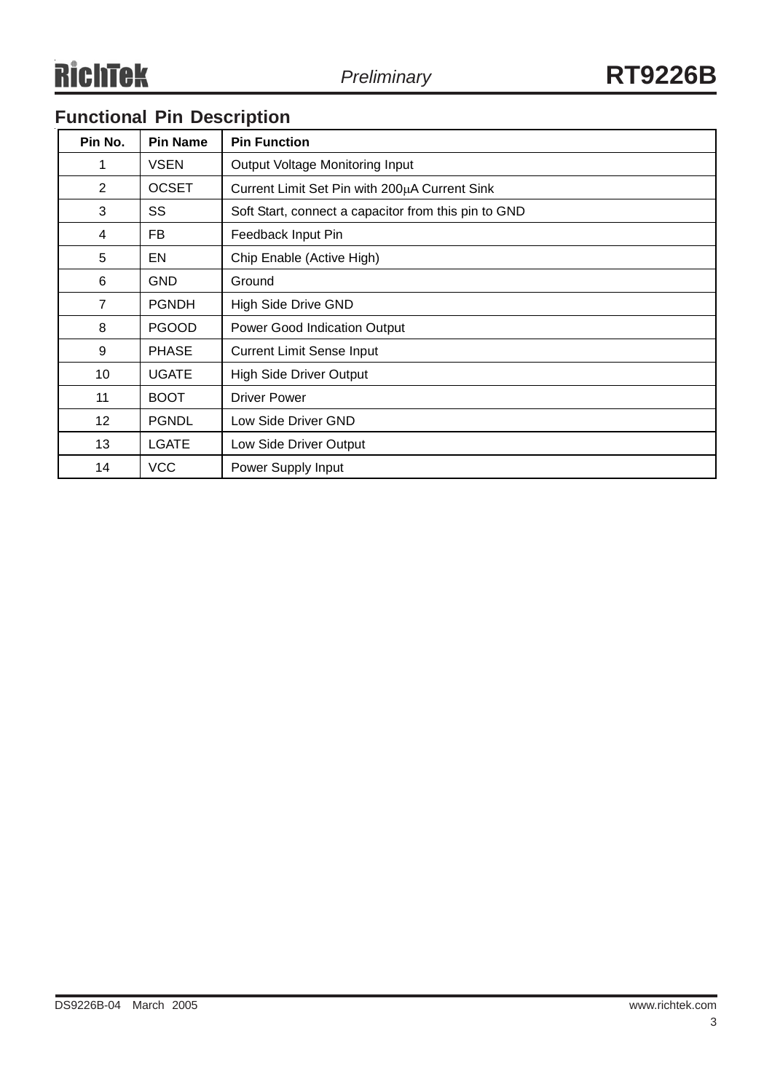# **Functional Pin Description**

| Pin No.         | <b>Pin Name</b> | <b>Pin Function</b>                                  |  |  |
|-----------------|-----------------|------------------------------------------------------|--|--|
| 1               | <b>VSEN</b>     | Output Voltage Monitoring Input                      |  |  |
| 2               | <b>OCSET</b>    | Current Limit Set Pin with 200µA Current Sink        |  |  |
| 3               | SS              | Soft Start, connect a capacitor from this pin to GND |  |  |
| 4               | FB              | Feedback Input Pin                                   |  |  |
| 5               | EN              | Chip Enable (Active High)                            |  |  |
| 6               | <b>GND</b>      | Ground                                               |  |  |
| 7               | <b>PGNDH</b>    | <b>High Side Drive GND</b>                           |  |  |
| 8               | <b>PGOOD</b>    | <b>Power Good Indication Output</b>                  |  |  |
| 9               | <b>PHASE</b>    | <b>Current Limit Sense Input</b>                     |  |  |
| 10              | <b>UGATE</b>    | <b>High Side Driver Output</b>                       |  |  |
| 11              | <b>BOOT</b>     | <b>Driver Power</b>                                  |  |  |
| 12 <sup>2</sup> | <b>PGNDL</b>    | Low Side Driver GND                                  |  |  |
| 13              | <b>LGATE</b>    | Low Side Driver Output                               |  |  |
| 14              | <b>VCC</b>      | Power Supply Input                                   |  |  |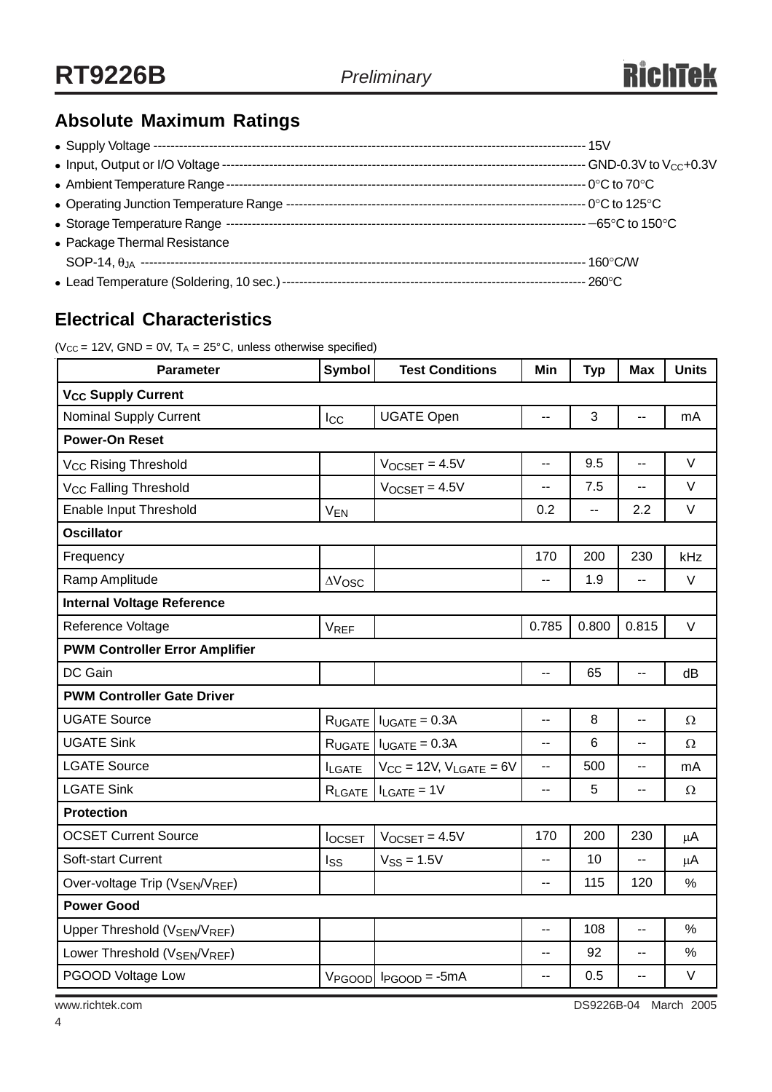# **Absolute Maximum Ratings**

| • Package Thermal Resistance |  |
|------------------------------|--|
|                              |  |
|                              |  |

## **Electrical Characteristics**

( $V_{CC}$  = 12V, GND = 0V, T<sub>A</sub> = 25°C, unless otherwise specified)

| <b>Parameter</b>                                      | <b>Symbol</b>         | <b>Test Conditions</b>           | Min            | <b>Typ</b>     | <b>Max</b>     | <b>Units</b> |  |  |  |
|-------------------------------------------------------|-----------------------|----------------------------------|----------------|----------------|----------------|--------------|--|--|--|
| <b>V<sub>CC</sub> Supply Current</b>                  |                       |                                  |                |                |                |              |  |  |  |
| <b>Nominal Supply Current</b>                         | $_{\text{Lcc}}$       | <b>UGATE Open</b>                | --             | 3              | $\overline{a}$ | mA           |  |  |  |
| <b>Power-On Reset</b>                                 |                       |                                  |                |                |                |              |  |  |  |
| V <sub>CC</sub> Rising Threshold                      |                       | $V$ OCSET = 4.5V                 | $\overline{a}$ | 9.5            | Ш,             | $\vee$       |  |  |  |
| V <sub>CC</sub> Falling Threshold                     |                       | $V_{OCSET} = 4.5V$               |                | 7.5            |                | $\vee$       |  |  |  |
| Enable Input Threshold                                | <b>V<sub>EN</sub></b> |                                  | 0.2            | $\overline{a}$ | 2.2            | $\vee$       |  |  |  |
| <b>Oscillator</b>                                     |                       |                                  |                |                |                |              |  |  |  |
| Frequency                                             |                       |                                  | 170            | 200            | 230            | kHz          |  |  |  |
| Ramp Amplitude                                        | $\Delta V$ OSC        |                                  | --             | 1.9            |                | $\vee$       |  |  |  |
| <b>Internal Voltage Reference</b>                     |                       |                                  |                |                |                |              |  |  |  |
| Reference Voltage                                     | <b>VREF</b>           |                                  | 0.785          | 0.800          | 0.815          | $\vee$       |  |  |  |
| <b>PWM Controller Error Amplifier</b>                 |                       |                                  |                |                |                |              |  |  |  |
| DC Gain                                               |                       |                                  | $\overline{a}$ | 65             | Ξ.             | dB           |  |  |  |
| <b>PWM Controller Gate Driver</b>                     |                       |                                  |                |                |                |              |  |  |  |
| <b>UGATE Source</b>                                   | R <sub>UGATE</sub>    | $I_{UGATE} = 0.3A$               | $\overline{a}$ | 8              | $\overline{a}$ | Ω            |  |  |  |
| <b>UGATE Sink</b>                                     | RUGATE                | $I_{UGATE} = 0.3A$               | $\overline{a}$ | 6              | --             | $\Omega$     |  |  |  |
| <b>LGATE Source</b>                                   | <b>ILGATE</b>         | $V_{CC}$ = 12V, $V_{LGATE}$ = 6V | --             | 500            | щ.             | mA           |  |  |  |
| <b>LGATE Sink</b>                                     | RLGATE                | $I_{LGATE} = 1V$                 | ۰.             | 5              | --             | $\Omega$     |  |  |  |
| <b>Protection</b>                                     |                       |                                  |                |                |                |              |  |  |  |
| <b>OCSET Current Source</b>                           | <b>locsET</b>         | $V$ <sub>OCSET</sub> = $4.5V$    | 170            | 200            | 230            | $\mu$ A      |  |  |  |
| Soft-start Current                                    | Iss                   | $VSS = 1.5V$                     | --             | 10             | --             | $\mu$ A      |  |  |  |
| Over-voltage Trip (VSEN/VREF)                         |                       |                                  | --             | 115            | 120            | $\%$         |  |  |  |
| <b>Power Good</b>                                     |                       |                                  |                |                |                |              |  |  |  |
| Upper Threshold (VSEN/VREF)                           |                       |                                  | --             | 108            | Ξ.             | $\%$         |  |  |  |
| Lower Threshold (V <sub>SEN</sub> /V <sub>REF</sub> ) |                       |                                  | $\overline{a}$ | 92             | --             | $\%$         |  |  |  |
| PGOOD Voltage Low                                     |                       | $V_{PGOOD}$ $I_{PGOOD} = -5mA$   | $\overline{a}$ | 0.5            | $\overline{a}$ | $\vee$       |  |  |  |